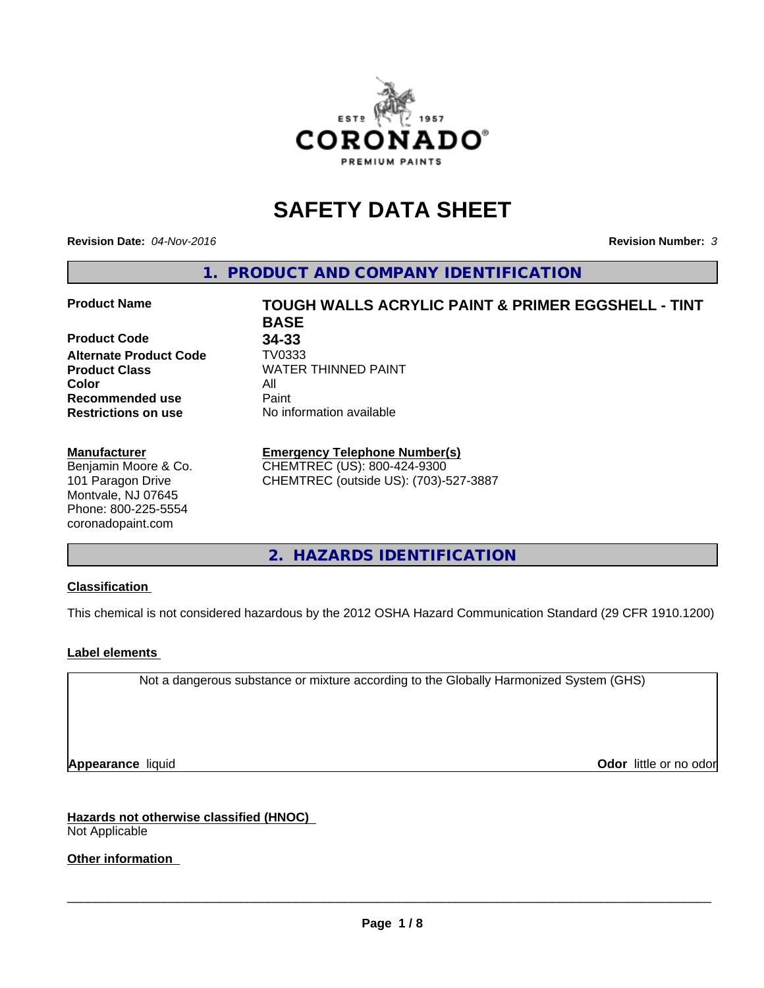

# **SAFETY DATA SHEET**

**Revision Date:** *04-Nov-2016* **Revision Number:** *3*

**1. PRODUCT AND COMPANY IDENTIFICATION**

### **Product Name TOUGH WALLS ACRYLIC PAINT & PRIMER EGGSHELL - TINT**

**Product Code 34-33 Alternate Product Code TV0333**<br>Product Class WATER **Color** All **Recommended use** Paint<br> **Restrictions on use** No inf

### **Manufacturer**

Benjamin Moore & Co. 101 Paragon Drive Montvale, NJ 07645 Phone: 800-225-5554 coronadopaint.com

**BASE Product Class** WATER THINNED PAINT<br>
Color **No information available** 

### **Emergency Telephone Number(s)**

CHEMTREC (US): 800-424-9300 CHEMTREC (outside US): (703)-527-3887

**2. HAZARDS IDENTIFICATION**

### **Classification**

This chemical is not considered hazardous by the 2012 OSHA Hazard Communication Standard (29 CFR 1910.1200)

### **Label elements**

Not a dangerous substance or mixture according to the Globally Harmonized System (GHS)

**Appearance** liquid **Odor in the original of the original of the original of the original of the original of the original of the original of the original of the original of the original of the original of the original of t** 

**Hazards not otherwise classified (HNOC)** Not Applicable

**Other information**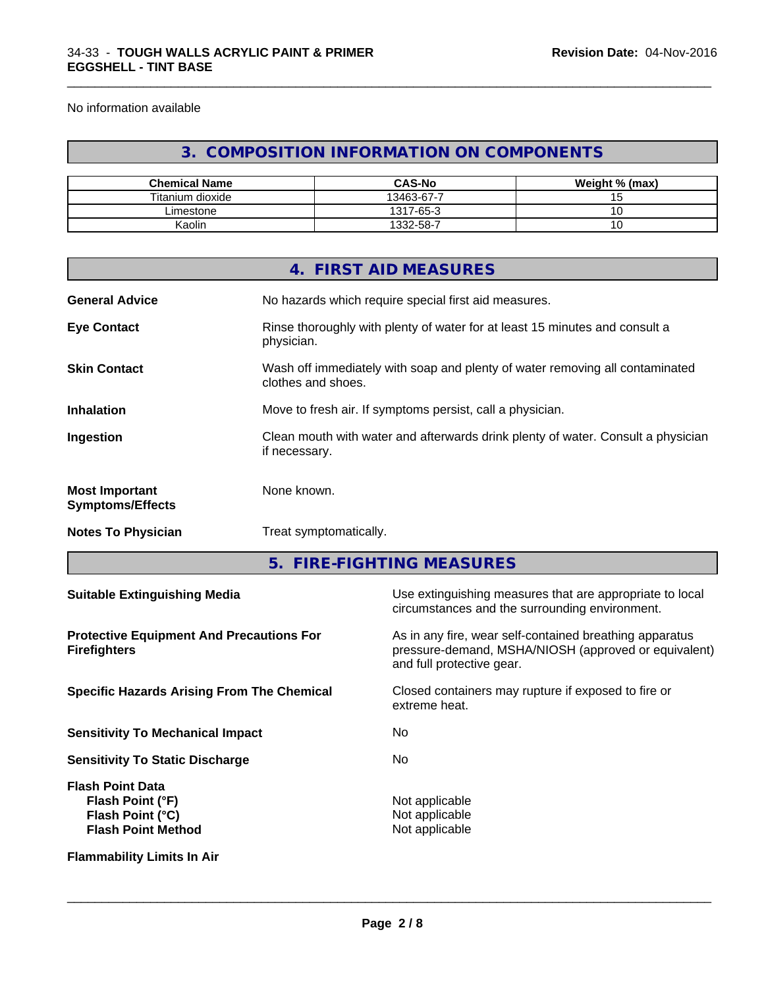No information available

### **3. COMPOSITION INFORMATION ON COMPONENTS**

\_\_\_\_\_\_\_\_\_\_\_\_\_\_\_\_\_\_\_\_\_\_\_\_\_\_\_\_\_\_\_\_\_\_\_\_\_\_\_\_\_\_\_\_\_\_\_\_\_\_\_\_\_\_\_\_\_\_\_\_\_\_\_\_\_\_\_\_\_\_\_\_\_\_\_\_\_\_\_\_\_\_\_\_\_\_\_\_\_\_\_\_\_

| <b>Chemical Name</b> | <b>CAS-No</b> | Weight % (max) |
|----------------------|---------------|----------------|
| Titanium dioxide     | 13463-67-7    |                |
| ∟imestone_           | 1317-65-3     |                |
| Kaolin               | 1332-58-7     | J              |

|                                                  | 4. FIRST AID MEASURES                                                                              |
|--------------------------------------------------|----------------------------------------------------------------------------------------------------|
| <b>General Advice</b>                            | No hazards which require special first aid measures.                                               |
| <b>Eye Contact</b>                               | Rinse thoroughly with plenty of water for at least 15 minutes and consult a<br>physician.          |
| <b>Skin Contact</b>                              | Wash off immediately with soap and plenty of water removing all contaminated<br>clothes and shoes. |
| <b>Inhalation</b>                                | Move to fresh air. If symptoms persist, call a physician.                                          |
| Ingestion                                        | Clean mouth with water and afterwards drink plenty of water. Consult a physician<br>if necessary.  |
| <b>Most Important</b><br><b>Symptoms/Effects</b> | None known.                                                                                        |
| <b>Notes To Physician</b>                        | Treat symptomatically.                                                                             |

**5. FIRE-FIGHTING MEASURES**

| <b>Suitable Extinguishing Media</b>                                                                 | Use extinguishing measures that are appropriate to local<br>circumstances and the surrounding environment.                                   |
|-----------------------------------------------------------------------------------------------------|----------------------------------------------------------------------------------------------------------------------------------------------|
| <b>Protective Equipment And Precautions For</b><br><b>Firefighters</b>                              | As in any fire, wear self-contained breathing apparatus<br>pressure-demand, MSHA/NIOSH (approved or equivalent)<br>and full protective gear. |
| <b>Specific Hazards Arising From The Chemical</b>                                                   | Closed containers may rupture if exposed to fire or<br>extreme heat.                                                                         |
| <b>Sensitivity To Mechanical Impact</b>                                                             | No.                                                                                                                                          |
| <b>Sensitivity To Static Discharge</b>                                                              | No.                                                                                                                                          |
| <b>Flash Point Data</b><br>Flash Point (°F)<br><b>Flash Point (°C)</b><br><b>Flash Point Method</b> | Not applicable<br>Not applicable<br>Not applicable                                                                                           |
| <b>Flammability Limits In Air</b>                                                                   |                                                                                                                                              |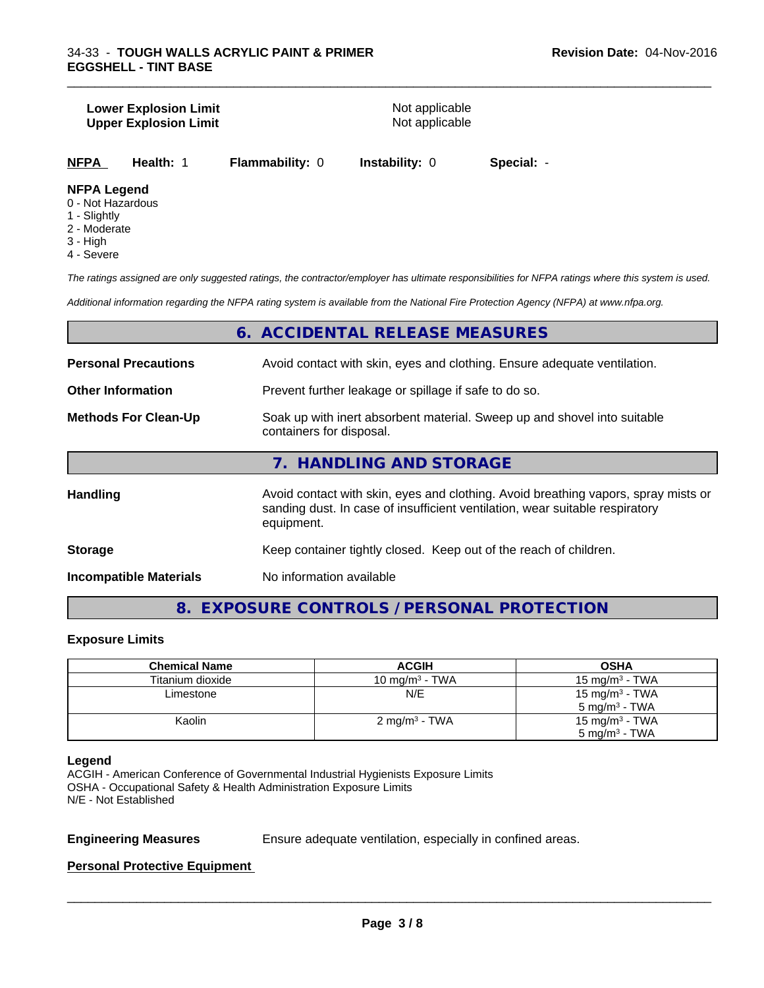### **Lower Explosion Limit**<br> **Upper Explosion Limit**<br> **Upper Explosion Limit Upper Explosion Limit**

\_\_\_\_\_\_\_\_\_\_\_\_\_\_\_\_\_\_\_\_\_\_\_\_\_\_\_\_\_\_\_\_\_\_\_\_\_\_\_\_\_\_\_\_\_\_\_\_\_\_\_\_\_\_\_\_\_\_\_\_\_\_\_\_\_\_\_\_\_\_\_\_\_\_\_\_\_\_\_\_\_\_\_\_\_\_\_\_\_\_\_\_\_

**NFPA Health:** 1 **Flammability:** 0 **Instability:** 0 **Special:** -

### **NFPA Legend**

- 0 Not Hazardous
- 1 Slightly
- 2 Moderate
- 3 High
- 4 Severe

*The ratings assigned are only suggested ratings, the contractor/employer has ultimate responsibilities for NFPA ratings where this system is used.*

*Additional information regarding the NFPA rating system is available from the National Fire Protection Agency (NFPA) at www.nfpa.org.*

### **6. ACCIDENTAL RELEASE MEASURES**

| <b>Personal Precautions</b>   | Avoid contact with skin, eyes and clothing. Ensure adequate ventilation.                                                                                                         |  |  |
|-------------------------------|----------------------------------------------------------------------------------------------------------------------------------------------------------------------------------|--|--|
| <b>Other Information</b>      | Prevent further leakage or spillage if safe to do so.                                                                                                                            |  |  |
| <b>Methods For Clean-Up</b>   | Soak up with inert absorbent material. Sweep up and shovel into suitable<br>containers for disposal.                                                                             |  |  |
|                               | 7. HANDLING AND STORAGE                                                                                                                                                          |  |  |
| Handling                      | Avoid contact with skin, eyes and clothing. Avoid breathing vapors, spray mists or<br>sanding dust. In case of insufficient ventilation, wear suitable respiratory<br>equipment. |  |  |
| <b>Storage</b>                | Keep container tightly closed. Keep out of the reach of children.                                                                                                                |  |  |
| <b>Incompatible Materials</b> | No information available                                                                                                                                                         |  |  |
|                               |                                                                                                                                                                                  |  |  |

**8. EXPOSURE CONTROLS / PERSONAL PROTECTION**

### **Exposure Limits**

| <b>Chemical Name</b> | <b>ACGIH</b>             | OSHA                       |
|----------------------|--------------------------|----------------------------|
| Titanium dioxide     | 10 mg/m $3$ - TWA        | 15 mg/m $3$ - TWA          |
| Limestone            | N/E                      | 15 mg/m <sup>3</sup> - TWA |
|                      |                          | $5 \text{ ma/m}^3$ - TWA   |
| Kaolin               | $2 \text{ mg/m}^3$ - TWA | 15 mg/m <sup>3</sup> - TWA |
|                      |                          | $5 \text{ mg/m}^3$ - TWA   |

### **Legend**

ACGIH - American Conference of Governmental Industrial Hygienists Exposure Limits OSHA - Occupational Safety & Health Administration Exposure Limits N/E - Not Established

**Engineering Measures** Ensure adequate ventilation, especially in confined areas.

 $\overline{\phantom{a}}$  ,  $\overline{\phantom{a}}$  ,  $\overline{\phantom{a}}$  ,  $\overline{\phantom{a}}$  ,  $\overline{\phantom{a}}$  ,  $\overline{\phantom{a}}$  ,  $\overline{\phantom{a}}$  ,  $\overline{\phantom{a}}$  ,  $\overline{\phantom{a}}$  ,  $\overline{\phantom{a}}$  ,  $\overline{\phantom{a}}$  ,  $\overline{\phantom{a}}$  ,  $\overline{\phantom{a}}$  ,  $\overline{\phantom{a}}$  ,  $\overline{\phantom{a}}$  ,  $\overline{\phantom{a}}$ 

### **Personal Protective Equipment**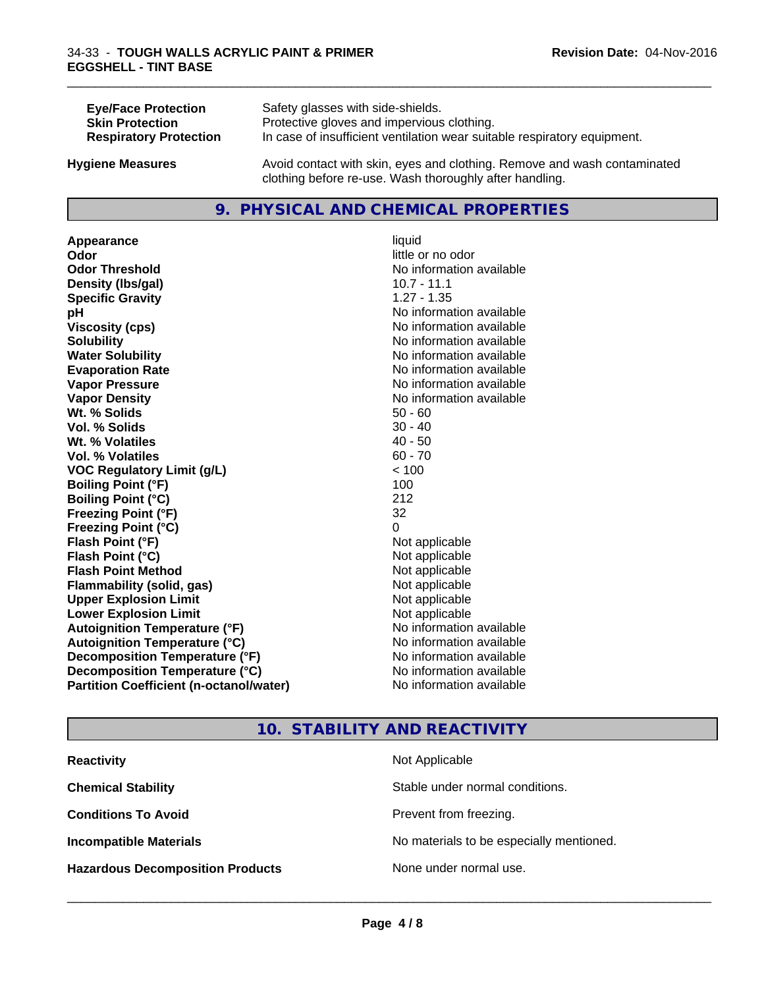| <b>Eye/Face Protection</b>    | Safety glasses with side-shields.                                        |
|-------------------------------|--------------------------------------------------------------------------|
| <b>Skin Protection</b>        | Protective gloves and impervious clothing.                               |
| <b>Respiratory Protection</b> | In case of insufficient ventilation wear suitable respiratory equipment. |
| <b>Hygiene Measures</b>       | Avoid contact with skin, eyes and clothing. Remove and wash contaminated |

### **9. PHYSICAL AND CHEMICAL PROPERTIES**

clothing before re-use. Wash thoroughly after handling.

**Appearance** liquid **Odor** little or no odor **Odor Threshold No information available No information available Density (lbs/gal)** 10.7 - 11.1 **Specific Gravity** 1.27 - 1.35 **pH pH**  $\blacksquare$ **Viscosity (cps)** No information available **Solubility Note 2008 Note 2008 Note 2008 Note 2008 Note 2008 Note 2008 Note 2008 Note 2008 Note 2008 Note 2008 Note 2008 Note 2008 Note 2008 Note 2008 Note 2008 Note 2008 Note 2008 Note Water Solubility**<br> **Evaporation Rate**<br> **Evaporation Rate**<br> **Evaporation Rate Evaporation Rate Evaporation Rate** No information available<br> **Vapor Pressure** No information available **Vapor Density Vapor Density No information available Wt. % Solids** 50 - 60<br> **Vol. % Solids** 30 - 40 **Vol. % Solids** 30 - 40<br>
Wt. % Volatiles 30 - 40 - 50 **Wt. % Volatiles Vol. % Volatiles** 60 - 70 **VOC Regulatory Limit (g/L)** < 100 **Boiling Point (°F)** 100 **Boiling Point (°C)** 212 **Freezing Point (°F)** 32 **Freezing Point (°C)** 0 **Flash Point (°F)** Not applicable **Flash Point (°C)** Not applicable **Flash Point Method**<br> **Flammability (solid, gas)**<br>
Not applicable<br>
Not applicable **Flammability (solid, gas)** Not applicable Not applicable<br> **Upper Explosion Limit** Not applicable **Upper Explosion Limit Lower Explosion Limit**<br> **Autoignition Temperature (°F)**<br> **Autoignition Temperature (°F)**<br> **Autoignition Temperature (°F) Autoignition Temperature (°F) Autoignition Temperature (°C)** No information available **Decomposition Temperature (°F)** No information available **Decomposition Temperature (°C)** No information available **Partition Coefficient (n-octanol/water)** No information available

# **No information available**

\_\_\_\_\_\_\_\_\_\_\_\_\_\_\_\_\_\_\_\_\_\_\_\_\_\_\_\_\_\_\_\_\_\_\_\_\_\_\_\_\_\_\_\_\_\_\_\_\_\_\_\_\_\_\_\_\_\_\_\_\_\_\_\_\_\_\_\_\_\_\_\_\_\_\_\_\_\_\_\_\_\_\_\_\_\_\_\_\_\_\_\_\_

### **10. STABILITY AND REACTIVITY**

| <b>Reactivity</b>                       | Not Applicable                           |
|-----------------------------------------|------------------------------------------|
| <b>Chemical Stability</b>               | Stable under normal conditions.          |
| <b>Conditions To Avoid</b>              | Prevent from freezing.                   |
| <b>Incompatible Materials</b>           | No materials to be especially mentioned. |
| <b>Hazardous Decomposition Products</b> | None under normal use.                   |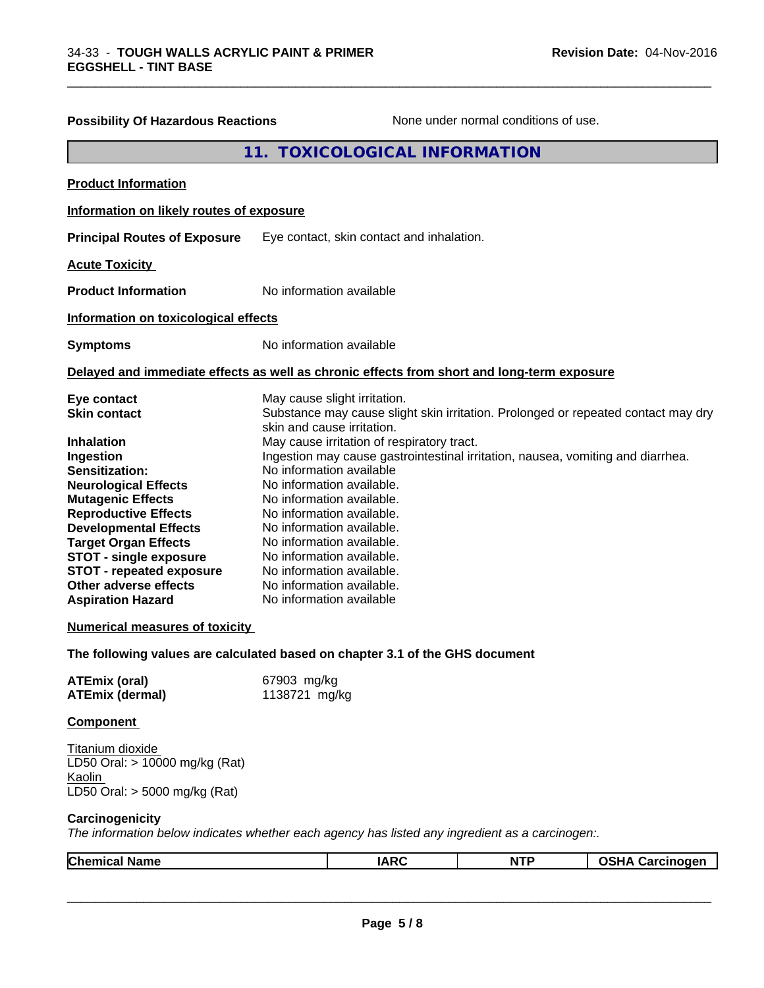| <b>Possibility Of Hazardous Reactions</b>                                                                                                                                                                                                                                                                                                                                                                         |                                                                                                                                                                                                                                                                                                                                                                                                          | None under normal conditions of use.                                                                                                                                 |                        |
|-------------------------------------------------------------------------------------------------------------------------------------------------------------------------------------------------------------------------------------------------------------------------------------------------------------------------------------------------------------------------------------------------------------------|----------------------------------------------------------------------------------------------------------------------------------------------------------------------------------------------------------------------------------------------------------------------------------------------------------------------------------------------------------------------------------------------------------|----------------------------------------------------------------------------------------------------------------------------------------------------------------------|------------------------|
|                                                                                                                                                                                                                                                                                                                                                                                                                   | 11. TOXICOLOGICAL INFORMATION                                                                                                                                                                                                                                                                                                                                                                            |                                                                                                                                                                      |                        |
| <b>Product Information</b>                                                                                                                                                                                                                                                                                                                                                                                        |                                                                                                                                                                                                                                                                                                                                                                                                          |                                                                                                                                                                      |                        |
| Information on likely routes of exposure                                                                                                                                                                                                                                                                                                                                                                          |                                                                                                                                                                                                                                                                                                                                                                                                          |                                                                                                                                                                      |                        |
| <b>Principal Routes of Exposure</b>                                                                                                                                                                                                                                                                                                                                                                               | Eye contact, skin contact and inhalation.                                                                                                                                                                                                                                                                                                                                                                |                                                                                                                                                                      |                        |
| <b>Acute Toxicity</b>                                                                                                                                                                                                                                                                                                                                                                                             |                                                                                                                                                                                                                                                                                                                                                                                                          |                                                                                                                                                                      |                        |
| <b>Product Information</b>                                                                                                                                                                                                                                                                                                                                                                                        | No information available                                                                                                                                                                                                                                                                                                                                                                                 |                                                                                                                                                                      |                        |
| Information on toxicological effects                                                                                                                                                                                                                                                                                                                                                                              |                                                                                                                                                                                                                                                                                                                                                                                                          |                                                                                                                                                                      |                        |
| <b>Symptoms</b>                                                                                                                                                                                                                                                                                                                                                                                                   | No information available                                                                                                                                                                                                                                                                                                                                                                                 |                                                                                                                                                                      |                        |
| Delayed and immediate effects as well as chronic effects from short and long-term exposure                                                                                                                                                                                                                                                                                                                        |                                                                                                                                                                                                                                                                                                                                                                                                          |                                                                                                                                                                      |                        |
| Eye contact<br><b>Skin contact</b><br><b>Inhalation</b><br>Ingestion<br>Sensitization:<br><b>Neurological Effects</b><br><b>Mutagenic Effects</b><br><b>Reproductive Effects</b><br><b>Developmental Effects</b><br><b>Target Organ Effects</b><br><b>STOT - single exposure</b><br><b>STOT - repeated exposure</b><br>Other adverse effects<br><b>Aspiration Hazard</b><br><b>Numerical measures of toxicity</b> | May cause slight irritation.<br>skin and cause irritation.<br>May cause irritation of respiratory tract.<br>No information available<br>No information available.<br>No information available.<br>No information available.<br>No information available.<br>No information available.<br>No information available.<br>No information available.<br>No information available.<br>No information available | Substance may cause slight skin irritation. Prolonged or repeated contact may dry<br>Ingestion may cause gastrointestinal irritation, nausea, vomiting and diarrhea. |                        |
| The following values are calculated based on chapter 3.1 of the GHS document                                                                                                                                                                                                                                                                                                                                      |                                                                                                                                                                                                                                                                                                                                                                                                          |                                                                                                                                                                      |                        |
| <b>ATEmix (oral)</b><br><b>ATEmix (dermal)</b>                                                                                                                                                                                                                                                                                                                                                                    | 67903 mg/kg<br>1138721 mg/kg                                                                                                                                                                                                                                                                                                                                                                             |                                                                                                                                                                      |                        |
| <b>Component</b>                                                                                                                                                                                                                                                                                                                                                                                                  |                                                                                                                                                                                                                                                                                                                                                                                                          |                                                                                                                                                                      |                        |
| Titanium dioxide<br>LD50 Oral: > 10000 mg/kg (Rat)<br>Kaolin<br>LD50 Oral: > 5000 mg/kg (Rat)                                                                                                                                                                                                                                                                                                                     |                                                                                                                                                                                                                                                                                                                                                                                                          |                                                                                                                                                                      |                        |
| Carcinogenicity<br>The information below indicates whether each agency has listed any ingredient as a carcinogen:.                                                                                                                                                                                                                                                                                                |                                                                                                                                                                                                                                                                                                                                                                                                          |                                                                                                                                                                      |                        |
| <b>Chemical Name</b>                                                                                                                                                                                                                                                                                                                                                                                              | <b>IARC</b>                                                                                                                                                                                                                                                                                                                                                                                              | <b>NTP</b>                                                                                                                                                           | <b>OSHA Carcinogen</b> |

\_\_\_\_\_\_\_\_\_\_\_\_\_\_\_\_\_\_\_\_\_\_\_\_\_\_\_\_\_\_\_\_\_\_\_\_\_\_\_\_\_\_\_\_\_\_\_\_\_\_\_\_\_\_\_\_\_\_\_\_\_\_\_\_\_\_\_\_\_\_\_\_\_\_\_\_\_\_\_\_\_\_\_\_\_\_\_\_\_\_\_\_\_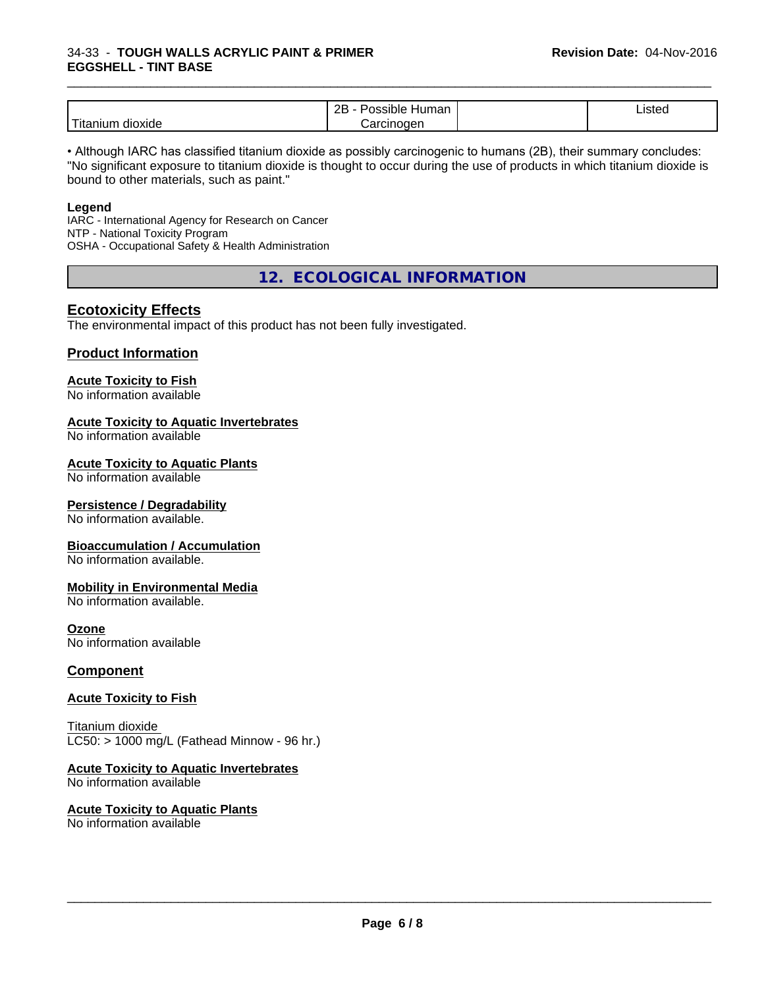### 34-33 - **TOUGH WALLS ACRYLIC PAINT & PRIMER EGGSHELL - TINT BASE**

|                           | חר<br>.nar<br>sibie<br>ונור<br>~~                                  | . .<br>Listed |  |
|---------------------------|--------------------------------------------------------------------|---------------|--|
| .<br>dioxide<br>l itanıur | $\sim$ $\sim$<br>000n<br>⊣ו זו<br>' 10<br>$\overline{\phantom{a}}$ |               |  |

\_\_\_\_\_\_\_\_\_\_\_\_\_\_\_\_\_\_\_\_\_\_\_\_\_\_\_\_\_\_\_\_\_\_\_\_\_\_\_\_\_\_\_\_\_\_\_\_\_\_\_\_\_\_\_\_\_\_\_\_\_\_\_\_\_\_\_\_\_\_\_\_\_\_\_\_\_\_\_\_\_\_\_\_\_\_\_\_\_\_\_\_\_

• Although IARC has classified titanium dioxide as possibly carcinogenic to humans (2B), their summary concludes: "No significant exposure to titanium dioxide is thought to occur during the use of products in which titanium dioxide is bound to other materials, such as paint."

### **Legend**

IARC - International Agency for Research on Cancer NTP - National Toxicity Program OSHA - Occupational Safety & Health Administration

**12. ECOLOGICAL INFORMATION**

### **Ecotoxicity Effects**

The environmental impact of this product has not been fully investigated.

### **Product Information**

### **Acute Toxicity to Fish**

No information available

### **Acute Toxicity to Aquatic Invertebrates**

No information available

### **Acute Toxicity to Aquatic Plants**

No information available

### **Persistence / Degradability**

No information available.

### **Bioaccumulation / Accumulation**

No information available.

### **Mobility in Environmental Media**

No information available.

### **Ozone**

No information available

### **Component**

### **Acute Toxicity to Fish**

Titanium dioxide  $LC50:$  > 1000 mg/L (Fathead Minnow - 96 hr.)

### **Acute Toxicity to Aquatic Invertebrates**

No information available

### **Acute Toxicity to Aquatic Plants** No information available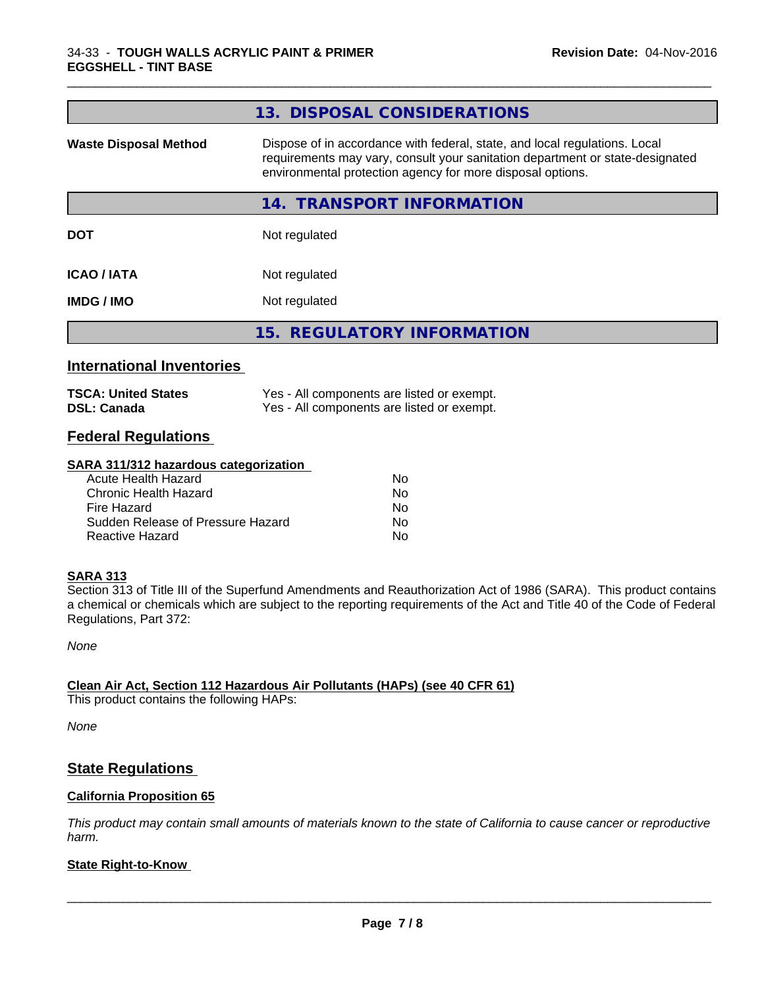|                                                                                                                                                                                                                                                           | 13. DISPOSAL CONSIDERATIONS                                                              |
|-----------------------------------------------------------------------------------------------------------------------------------------------------------------------------------------------------------------------------------------------------------|------------------------------------------------------------------------------------------|
| Dispose of in accordance with federal, state, and local regulations. Local<br><b>Waste Disposal Method</b><br>requirements may vary, consult your sanitation department or state-designated<br>environmental protection agency for more disposal options. |                                                                                          |
|                                                                                                                                                                                                                                                           | <b>TRANSPORT INFORMATION</b><br>14.                                                      |
| <b>DOT</b>                                                                                                                                                                                                                                                | Not regulated                                                                            |
| <b>ICAO/IATA</b>                                                                                                                                                                                                                                          | Not regulated                                                                            |
| <b>IMDG/IMO</b>                                                                                                                                                                                                                                           | Not regulated                                                                            |
|                                                                                                                                                                                                                                                           | 15. REGULATORY INFORMATION                                                               |
| <b>International Inventories</b>                                                                                                                                                                                                                          |                                                                                          |
| <b>TSCA: United States</b><br><b>DSL: Canada</b>                                                                                                                                                                                                          | Yes - All components are listed or exempt.<br>Yes - All components are listed or exempt. |
|                                                                                                                                                                                                                                                           |                                                                                          |

\_\_\_\_\_\_\_\_\_\_\_\_\_\_\_\_\_\_\_\_\_\_\_\_\_\_\_\_\_\_\_\_\_\_\_\_\_\_\_\_\_\_\_\_\_\_\_\_\_\_\_\_\_\_\_\_\_\_\_\_\_\_\_\_\_\_\_\_\_\_\_\_\_\_\_\_\_\_\_\_\_\_\_\_\_\_\_\_\_\_\_\_\_

### **Federal Regulations**

### **SARA 311/312 hazardous categorization**

| Acute Health Hazard               | No |
|-----------------------------------|----|
| Chronic Health Hazard             | No |
| Fire Hazard                       | No |
| Sudden Release of Pressure Hazard | Nο |
| Reactive Hazard                   | N٥ |

### **SARA 313**

Section 313 of Title III of the Superfund Amendments and Reauthorization Act of 1986 (SARA). This product contains a chemical or chemicals which are subject to the reporting requirements of the Act and Title 40 of the Code of Federal Regulations, Part 372:

*None*

### **Clean Air Act,Section 112 Hazardous Air Pollutants (HAPs) (see 40 CFR 61)**

This product contains the following HAPs:

*None*

### **State Regulations**

### **California Proposition 65**

This product may contain small amounts of materials known to the state of California to cause cancer or reproductive *harm.*

### **State Right-to-Know**